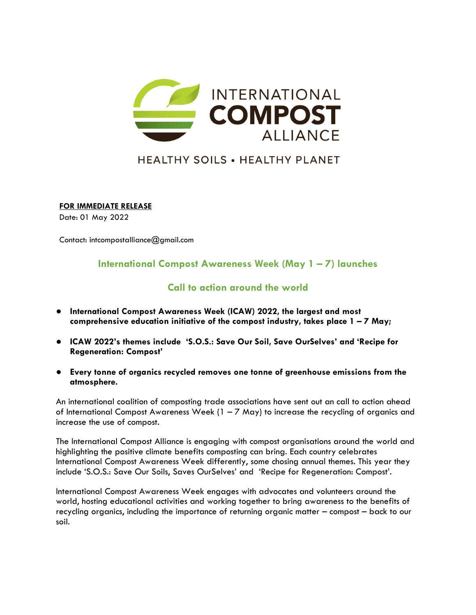

# **HEALTHY SOILS . HEALTHY PLANET**

**FOR IMMEDIATE RELEASE**

Date: 01 May 2022

Contact: intcompostalliance@gmail.com

## **International Compost Awareness Week (May 1 – 7) launches**

## **Call to action around the world**

- **International Compost Awareness Week (ICAW) 2022, the largest and most comprehensive education initiative of the compost industry, takes place 1 – 7 May;**
- **ICAW 2022's themes include 'S.O.S.: Save Our Soil, Save OurSelves' and 'Recipe for Regeneration: Compost'**
- **Every tonne of organics recycled removes one tonne of greenhouse emissions from the atmosphere.**

An international coalition of composting trade associations have sent out an call to action ahead of International Compost Awareness Week (1 – 7 May) to increase the recycling of organics and increase the use of compost.

The International Compost Alliance is engaging with compost organisations around the world and highlighting the positive climate benefits composting can bring. Each country celebrates International Compost Awareness Week differently, some chosing annual themes. This year they include 'S.O.S.: Save Our Soils, Saves OurSelves' and 'Recipe for Regeneration: Compost'.

International Compost Awareness Week engages with advocates and volunteers around the world, hosting educational activities and working together to bring awareness to the benefits of recycling organics, including the importance of returning organic matter – compost – back to our soil.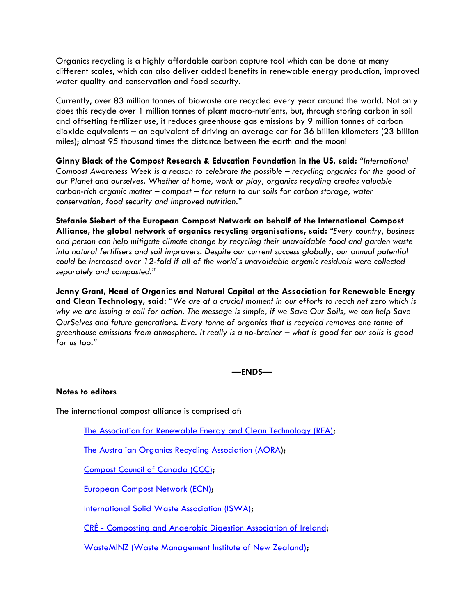Organics recycling is a highly affordable carbon capture tool which can be done at many different scales, which can also deliver added benefits in renewable energy production, improved water quality and conservation and food security.

Currently, over 83 million tonnes of biowaste are recycled every year around the world. Not only does this recycle over 1 million tonnes of plant macro-nutrients, but, through storing carbon in soil and offsetting fertilizer use, it reduces greenhouse gas emissions by 9 million tonnes of carbon dioxide equivalents – an equivalent of driving an average car for 36 billion kilometers (23 billion miles); almost 95 thousand times the distance between the earth and the moon!

**Ginny Black of the Compost Research & Education Foundation in the US, said:** *"International Compost Awareness Week is a reason to celebrate the possible – recycling organics for the good of our Planet and ourselves. Whether at home, work or play, organics recycling creates valuable carbon-rich organic matter – compost – for return to our soils for carbon storage, water conservation, food security and improved nutrition."*

**Stefanie Siebert of the European Compost Network on behalf of the International Compost Alliance, the global network of organics recycling organisations, said:** *"Every country, business and person can help mitigate climate change by recycling their unavoidable food and garden waste into natural fertilisers and soil improvers. Despite our current success globally, our annual potential could be increased over 12-fold if all of the world's unavoidable organic residuals were collected separately and composted."*

**Jenny Grant, Head of Organics and Natural Capital at the Association for Renewable Energy and Clean Technology, said:** *"We are at a crucial moment in our efforts to reach net zero which is why we are issuing a call for action. The message is simple, if we Save Our Soils, we can help Save OurSelves and future generations. Every tonne of organics that is recycled removes one tonne of greenhouse emissions from atmosphere. It really is a no-brainer – what is good for our soils is good for us too."*

#### **—ENDS—**

#### **Notes to editors**

The international compost alliance is comprised of:

[The Association for Renewable Energy and Clean Technology \(REA\);](https://www.r-e-a.net/)

[The Australian Organics Recycling Association \(AORA\)](https://www.aora.org.au/);

[Compost Council of Canada \(CCC\);](http://www.compost.org/)

[European Compost Network \(ECN\);](https://www.compostnetwork.info/)

[International Solid Waste Association \(ISWA\);](https://www.iswa.org/biological-treatment-of-waste/)

CRÉ - [Composting and Anaerobic Digestion Association of Ireland;](http://www.cre.ie/web/)

[WasteMINZ \(Waste Management Institute of New Zealand\);](https://www.wasteminz.org.nz/)